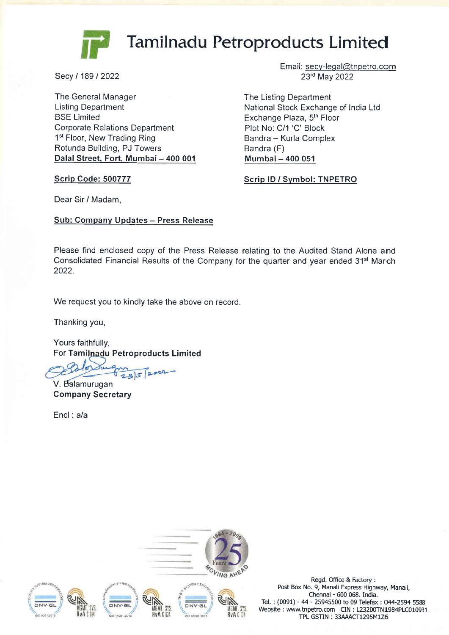

# Tamilnadu Petroproducts Limited

Secy/18912022

The General Manager Listing Department BSE Limited Corporate Relations Department 1<sup>st</sup> Floor, New Trading Ring Rotunda Building, PJ Towers Dalal Street, Fort, Mumbai - 400 001

Scrip Code: 500777

Email: secy-leqal@tnpetro.com 23'd May 2022

The Listing Department National Stock Exchange of India Ltd Exchange Plaza, 5<sup>th</sup> Floor Plot No: C/1 'C' Block Bandra - Kurla Complex Bandra (E) Mumbai- 400 051

Scrip lD / Svmbol: TNPETRO

Dear Sir / Madam,

Sub: Company Updates - Press Release

Please find enclosed copy of the Press Release relating to the Audited Stand Alone and Consolidated Financial Results of the Company for the quarter and year ended 31<sup>st</sup> March 2022.

We request you to kindly take the above on record.

Thanking you,

Yours faithfully, For Tamilnadu Petroproducts Limited

 $2852$ 

Company Secretary V. Balamurugan

Encl : a/a



Regd. Office & Factory : Post Box No. 9, Manali Express Highway, Manali, Chennai - 600 068. India. Tel. : (0091) - 44 - 25945500 to 09 Telefax : 044-2594 <sup>5588</sup> Website : www.tnpetro.com CIN : 123200TN1984PLC010931 TPL GSTIN: 33AAACT1295M1Z6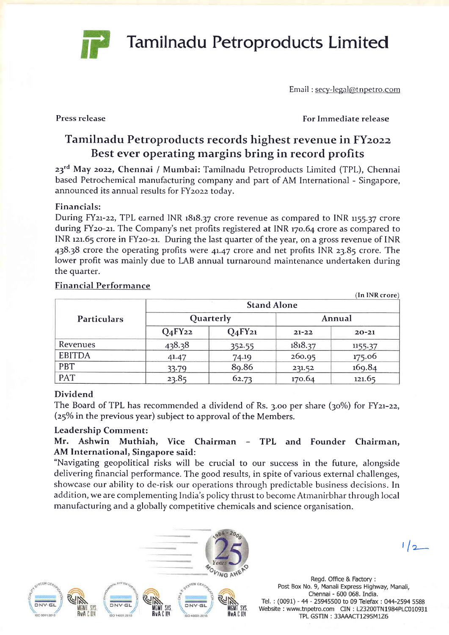Email : secy-legal@t npetro.com

Press release

For Immediate release

## Tamilnadu Petroproducts records highest revenue in FYzozz Best ever operating margins bring in record profits

Tamilnadu Petroproducts Limited

23<sup>rd</sup> May 2022, Chennai / Mumbai: Tamilnadu Petroproducts Limited (TPL), Chennai based Petrochemical manufacturing company and part of AM International - Singapore, announced its annual results for FYzozz todav.

#### Financials:

During FY21-22, TPL earned INR 1818.37 crore revenue as compared to INR 1155.37 crore during FY20-21. The Company's net profits registered at INR 170.64 crore as compared to INR 121.65 crore in FY20-21. During the last quarter of the year, on a gross revenue of INR 43838 crore the operating profits were 4t.47 crore and net profits INR 23.85 crore. The lower profit was mainly due to IAB annual turnaround maintenance undertaken during the quarter.

| <b>Particulars</b> | (In INR crore)<br><b>Stand Alone</b> |                                 |           |           |
|--------------------|--------------------------------------|---------------------------------|-----------|-----------|
|                    | Quarterly                            |                                 | Annual    |           |
|                    | $Q_4$ FY <sub>22</sub>               | Q <sub>4</sub> FY <sub>21</sub> | $21 - 22$ | $20 - 21$ |
| Revenues           | 438.38                               | 352.55                          | 1818.37   | 1155.37   |
| <b>EBITDA</b>      | 41.47                                | 74.19                           | 260.95    | 175.06    |
| <b>PBT</b>         | 33.79                                | 89.86                           | 231.52    | 169.84    |
| <b>PAT</b>         | 23.85                                | 62.73                           | 170.64    | 121.65    |

#### Financial Performance

#### Dividend

The Board of TPL has recommended a dividend of Rs. 3.00 per share  $(30\%)$  for FY21-22,  $(25\%$  in the previous year) subject to approval of the Members.

#### Leadership Comment:

### Mr. Ashwin Muthiah, Vice Chairman - TPL and Founder Chairman, AM International, Singapore said:

"Navigating geopolitical risks will be crucial to our success in the future, alongside delivering financial performance. The good results, in spite of various external challenges, showcase our ability to de-risk our operations through predictable business decisions. In addition, we are complementing India's policy thrust to become Atmanirbhar through local manufacturing and a globally competitive chemicals and science organisation.



Regd. Office & Factory : Post Box No. 9, Manali Express Highway, Manali, Chennai - 600 068. India, Tel. : (0091) - 44 - 25945500 to 09 Telefax : 044-2594 5588 Website : www.tnpetro.com CIN : L23200TN1984PLC010931 TPL GSTIN : 33AMCT1295M126

 $1/2$